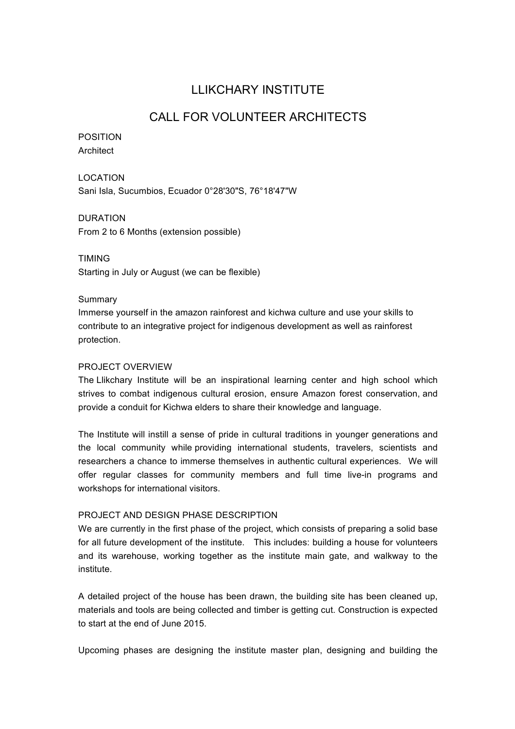# LLIKCHARY INSTITUTE

## CALL FOR VOLUNTEER ARCHITECTS

## POSITION Architect

LOCATION Sani Isla, Sucumbios, Ecuador 0°28'30"S, 76°18'47"W

DURATION From 2 to 6 Months (extension possible)

TIMING Starting in July or August (we can be flexible)

## Summary

Immerse yourself in the amazon rainforest and kichwa culture and use your skills to contribute to an integrative project for indigenous development as well as rainforest protection.

## PROJECT OVERVIEW

The Llikchary Institute will be an inspirational learning center and high school which strives to combat indigenous cultural erosion, ensure Amazon forest conservation, and provide a conduit for Kichwa elders to share their knowledge and language.

The Institute will instill a sense of pride in cultural traditions in younger generations and the local community while providing international students, travelers, scientists and researchers a chance to immerse themselves in authentic cultural experiences. We will offer regular classes for community members and full time live-in programs and workshops for international visitors.

## PROJECT AND DESIGN PHASE DESCRIPTION

We are currently in the first phase of the project, which consists of preparing a solid base for all future development of the institute. This includes: building a house for volunteers and its warehouse, working together as the institute main gate, and walkway to the institute.

A detailed project of the house has been drawn, the building site has been cleaned up, materials and tools are being collected and timber is getting cut. Construction is expected to start at the end of June 2015.

Upcoming phases are designing the institute master plan, designing and building the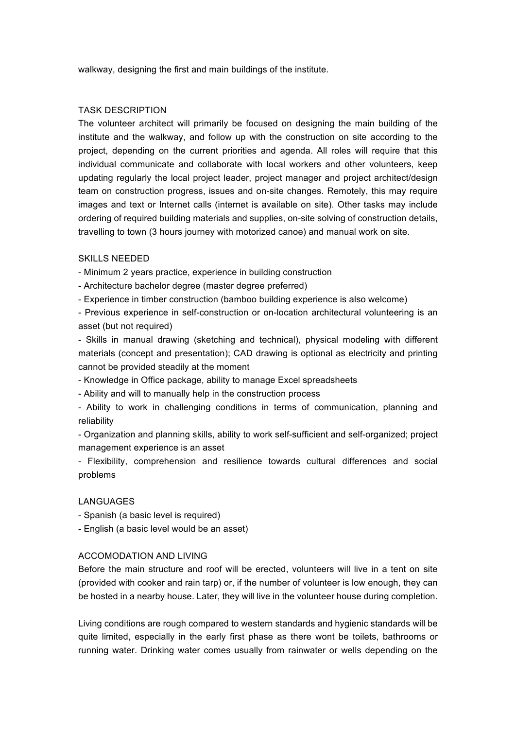walkway, designing the first and main buildings of the institute.

#### TASK DESCRIPTION

The volunteer architect will primarily be focused on designing the main building of the institute and the walkway, and follow up with the construction on site according to the project, depending on the current priorities and agenda. All roles will require that this individual communicate and collaborate with local workers and other volunteers, keep updating regularly the local project leader, project manager and project architect/design team on construction progress, issues and on-site changes. Remotely, this may require images and text or Internet calls (internet is available on site). Other tasks may include ordering of required building materials and supplies, on-site solving of construction details, travelling to town (3 hours journey with motorized canoe) and manual work on site.

#### SKILLS NEEDED

- Minimum 2 years practice, experience in building construction

- Architecture bachelor degree (master degree preferred)

- Experience in timber construction (bamboo building experience is also welcome)

- Previous experience in self-construction or on-location architectural volunteering is an asset (but not required)

- Skills in manual drawing (sketching and technical), physical modeling with different materials (concept and presentation); CAD drawing is optional as electricity and printing cannot be provided steadily at the moment

- Knowledge in Office package, ability to manage Excel spreadsheets

- Ability and will to manually help in the construction process

- Ability to work in challenging conditions in terms of communication, planning and reliability

- Organization and planning skills, ability to work self-sufficient and self-organized; project management experience is an asset

- Flexibility, comprehension and resilience towards cultural differences and social problems

## LANGUAGES

- Spanish (a basic level is required)

- English (a basic level would be an asset)

#### ACCOMODATION AND LIVING

Before the main structure and roof will be erected, volunteers will live in a tent on site (provided with cooker and rain tarp) or, if the number of volunteer is low enough, they can be hosted in a nearby house. Later, they will live in the volunteer house during completion.

Living conditions are rough compared to western standards and hygienic standards will be quite limited, especially in the early first phase as there wont be toilets, bathrooms or running water. Drinking water comes usually from rainwater or wells depending on the